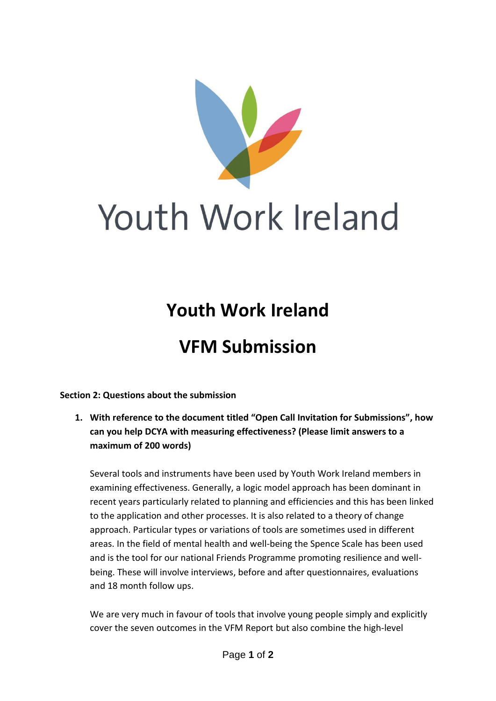

## Youth Work Ireland

## **Youth Work Ireland**

## **VFM Submission**

**Section 2: Questions about the submission**

**1. With reference to the document titled "Open Call Invitation for Submissions", how can you help DCYA with measuring effectiveness? (Please limit answers to a maximum of 200 words)**

Several tools and instruments have been used by Youth Work Ireland members in examining effectiveness. Generally, a logic model approach has been dominant in recent years particularly related to planning and efficiencies and this has been linked to the application and other processes. It is also related to a theory of change approach. Particular types or variations of tools are sometimes used in different areas. In the field of mental health and well-being the Spence Scale has been used and is the tool for our national Friends Programme promoting resilience and wellbeing. These will involve interviews, before and after questionnaires, evaluations and 18 month follow ups.

We are very much in favour of tools that involve young people simply and explicitly cover the seven outcomes in the VFM Report but also combine the high-level